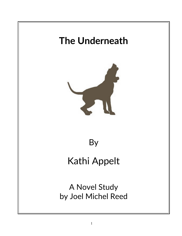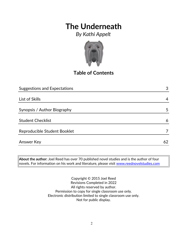*By Kathi Appelt*



# **Table of Contents**

| <b>Suggestions and Expectations</b> | 3  |
|-------------------------------------|----|
|                                     |    |
| List of Skills                      | 4  |
|                                     |    |
| Synopsis / Author Biography         | 5  |
|                                     |    |
| <b>Student Checklist</b>            | 6  |
|                                     |    |
| Reproducible Student Booklet        |    |
|                                     |    |
| <b>Answer Key</b>                   | 62 |

**About the author:** Joel Reed has over 70 published novel studies and is the author of four  $|$ novels. For information on his work and literature, please visit  $\overline{\text{www.reednovelstudies.com}}$ 

> Copyright © 2015 Joel Reed Revisions Completed in 2022 All rights reserved by author. Permission to copy for single classroom use only. Electronic distribution limited to single classroom use only. Not for public display.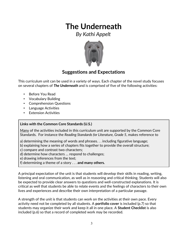*By Kathi Appelt*



### **Suggestions and Expectations**

This curriculum unit can be used in a variety of ways. Each chapter of the novel study focuses on several chapters of *The Underneath* and is comprised of five of the following activities:

- Before You Read
- Vocabulary Building
- Comprehension Questions
- Language Activities
- **Extension Activities**

#### **Links with the Common Core Standards (U.S.)**

Many of the activities included in this curriculum unit are supported by the Common Core Standards. For instance the *Reading Standards for Literature, Grade 5*, makes reference to

- a) determining the meaning of words and phrases. . . including figurative language;
- b) explaining how a series of chapters fits together to provide the overall structure;
- c) compare and contrast two characters;
- d) determine how characters … respond to challenges;
- e) drawing inferences from the text;
- f) determining a theme of a story . . . **and many others.**

A principal expectation of the unit is that students will develop their skills in reading, writing, listening and oral communication, as well as in reasoning and critical thinking. Students will also be expected to provide clear answers to questions and well-constructed explanations. It is critical as well that students be able to relate events and the feelings of characters to their own lives and experiences and describe their own interpretation of a particular passage.

A strength of the unit is that students can work on the activities at their own pace. Every activity need not be completed by all students. A **portfolio cover** is included (p.7) so that students may organize their work and keep it all in one place. A **Student Checklist** is also included (p.6) so that a record of completed work may be recorded.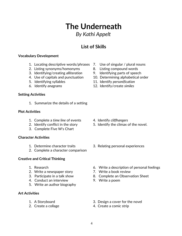- 4. Use of capitals and punctuation 10. Determining alphabetical order
- 5. Identifying syllables 11. Identify *personification*
- 6. Identify *anagrams* 12. Identify/create *similes*
- 1. Summarize the details of a setting

#### **Plot Activities**

**Setting Activities**

- 1. Complete a *time line* of events 4. Identify *cliffhangers*
- 
- 3. Complete Five W's Chart

#### **Character Activities**

- 
- 2. Complete a character comparison

#### **Creative and Critical Thinking**

- 
- 2. Write a newspaper story **7.** Write a book review
- 
- 4. Conduct an interview 9. Write a poem
- 5. Write an author biography

#### **Art Activities**

- 
- 
- 
- 2. Identify conflict in the story 5. Identify the climax of the novel.
- 1. Determine character traits 3. Relating personal experiences
- 1. Research 6. Write a description of personal feelings
	-
- 3. Participate in a talk show 8. Complete an Observation Sheet
	-
- 1. A Storyboard 3. Design a cover for the novel
- 2. Create a collage 4. Create a comic strip

**List of Skills**

**The Underneath**

*By Kathi Appelt*

#### **Vocabulary Development**

- 1. Locating descriptive words/phrases 7. Use of singular / plural nouns
- 2. Listing synonyms/homonyms 8. Listing compound words
- 3. Identifying/creating *alliteration* 9. Identifying parts of speech
- 
- 
-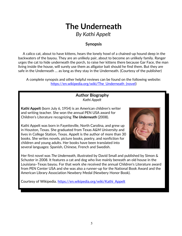# **The Underneath** *By Kathi Appelt*

### **Synopsis**

 A calico cat, about to have kittens, hears the lonely howl of a chained-up hound deep in the backwaters of the bayou. They are an unlikely pair, about to become an unlikely family. Ranger urges the cat to hide underneath the porch, to raise her kittens there because Gar Face, the man living inside the house, will surely use them as alligator bait should he find them. But they are safe in the Underneath … as long as they stay in the Underneath. (Courtesy of the publisher)

A complete synopsis and other helpful reviews can be found on the following website: https://en.wikipedia.org/wiki/The Underneath (novel)

#### **Author Biography** *Kathi Appelt*

**Kathi Appelt** (born July 6, 1954) is an American children's writer and writing teacher. She won the annual PEN USA award for Children's Literature recognizing *The Underneath* (2008).

Kathi Appelt was born in Fayetteville, North Carolina, and grew up in Houston, Texas. She graduated from Texas A&M University and lives in College Station, Texas. Appelt is the author of more than 30 books. She writes novels, picture books, poetry, and nonfiction for children and young adults. Her books have been translated into several languages: Spanish, Chinese, French and Swedish.



Her first novel was *The Underneath*, illustrated by David Small and published by Simon & Schuster in 2008. It features a cat and dog who live mainly beneath an old house in the Louisiana–Texas bayou. For that work she received the annual Children's Literature award from PEN Center USA and she was also a runner-up for the National Book Award and the American Library Association Newbery Medal (Newbery Honor Book).

Courtesy of Wikipedia. [https://en.wikipedia.org/wiki/Kathi\\_Appelt](https://en.wikipedia.org/wiki/Kathi_Appelt)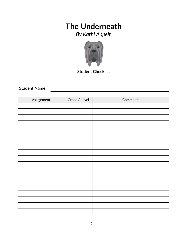*By Kathi Appelt*



**Student Checklist**

### Student Name

| Assignment | Grade / Level | Comments |
|------------|---------------|----------|
|            |               |          |
|            |               |          |
|            |               |          |
|            |               |          |
|            |               |          |
|            |               |          |
|            |               |          |
|            |               |          |
|            |               |          |
|            |               |          |
|            |               |          |
|            |               |          |
|            |               |          |
|            |               |          |
|            |               |          |
|            |               |          |
|            |               |          |
|            |               |          |
|            |               |          |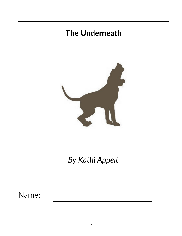

*By Kathi Appelt*

Name: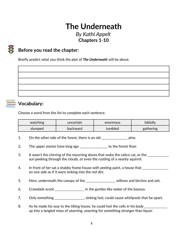### *By Kathi Appelt* **Chapters 1-10**

## **Before you read the chapter**:

Briefly predict what you think the plot of *The Underneath* will be about.



### **Vocabulary:**

Choose a word from the list to complete each sentence.

| watching | uncertain | enormous | loblolly  |
|----------|-----------|----------|-----------|
| slumped  | backward  | tumbled  | gathering |

- 1. On the other side of the forest, there is an old \_\_\_\_\_\_\_\_\_\_\_\_\_\_\_\_\_ pine.
- 2. The upper stories have long ago \_\_\_\_\_\_\_\_\_\_\_\_\_\_\_ to the forest floor.
- 3. It wasn't the chirring of the mourning doves that woke the calico cat, or the \_\_\_\_\_\_\_\_\_\_ sun peeking through the clouds, or even the rustling of a nearby squirrel.
- 4. In front of her sat a shabby frame house with peeling paint, a house that \_\_\_\_\_\_\_\_\_\_\_\_\_\_ on one side as if it were sinking into the red dirt.
- 5. Here, underneath the canopy of the \_\_\_\_\_\_\_\_\_\_\_\_\_\_\_\_\_\_ willows and birches and ash.
- 6. Crawdads scoot \_\_\_\_\_\_\_\_\_\_\_\_\_\_\_\_\_\_ in the gumbo-like water of the bayous.
- 7. Only something \_\_\_\_\_\_\_\_\_\_\_\_\_\_\_\_, sinking fast, could cause whirlpools that far apart.
- 8. As he made his way to the tilting house, he could feel the cells in his body \_\_\_\_\_\_\_\_\_\_\_\_\_\_\_\_\_\_\_\_\_\_\_\_\_\_\_\_\_\_ up into a tangled mass of yearning, yearning for something stronger than liquor.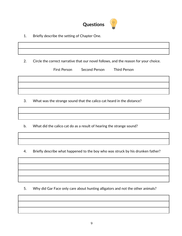

1. Briefly describe the setting of Chapter One.

2. Circle the correct narrative that our novel follows, and the reason for your choice.

|  | First Person Second Person Third Person |  |
|--|-----------------------------------------|--|
|  |                                         |  |
|  |                                         |  |
|  |                                         |  |

3. What was the strange sound that the calico cat heard in the distance?

b. What did the calico cat do as a result of hearing the strange sound?

4. Briefly describe what happened to the boy who was struck by his drunken father?

5. Why did Gar Face only care about hunting alligators and not the other animals?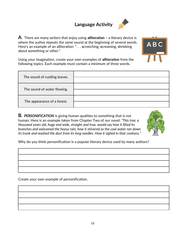## **Language Activity**



**A**. There are many writers that enjoy using **alliteration –** a literary device is where the author **r**epeats the same sound at the beginning of several words. Here's an example of an alliteration: ". . . **s**creeching, **s**creaming, **s**hrieking about **s**omething or other."

Using your imagination, create your own examples of **alliteration** from the following topics. Each example must contain a minimum of three words.

| The sound of rustling leaves. |  |
|-------------------------------|--|
|                               |  |
| The sound of water flowing.   |  |
|                               |  |
|                               |  |
| The appearance of a forest.   |  |

**B.** *PERSONIFICATION* is giving human qualities to something that is not human. Here is an example taken from Chapter Two of our novel: *"This tree, a thousand years old, huge and wide, straight and true, would say how it lifted its branches and welcomed the heavy rain, how it shivered as the cool water ran down its trunk and washed the dust from its long needles. How it sighed in that coolness."*



ABC

Why do you think personification is a popular literary device used by many authors?

Create your own example of personification.